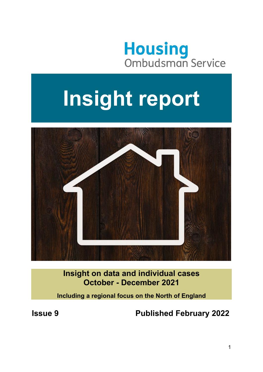

# **Insight report**



**Insight on data and individual cases October - December 2021** 

**Including a regional focus on the North of England** 

**Issue 9 Published February 2022**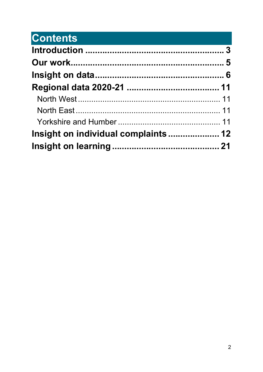# **Contents Contents**

| Insight on individual complaints  12 |
|--------------------------------------|
|                                      |
|                                      |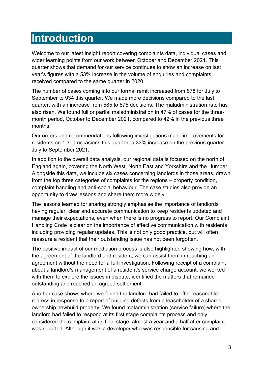# <span id="page-2-0"></span>**Introduction**

Welcome to our latest Insight report covering complaints data, individual cases and wider learning points from our work between October and December 2021. This quarter shows that demand for our service continues to show an increase on last year's figures with a 53% increase in the volume of enquiries and complaints received compared to the same quarter in 2020.

The number of cases coming into our formal remit increased from 878 for July to September to 934 this quarter. We made more decisions compared to the last quarter, with an increase from 585 to 675 decisions. The maladministration rate has also risen. We found full or partial maladministration in 47% of cases for the threemonth period, October to December 2021, compared to 42% in the previous three months.

Our orders and recommendations following investigations made improvements for residents on 1,300 occasions this quarter, a 33% increase on the previous quarter July to September 2021.

In addition to the overall data analysis, our regional data is focused on the north of England again, covering the North West, North East and Yorkshire and the Humber. Alongside this data, we include six cases concerning landlords in those areas, drawn from the top three categories of complaints for the regions – property condition, complaint handling and anti-social behaviour. The case studies also provide an opportunity to draw lessons and share them more widely

The lessons learned for sharing strongly emphasise the importance of landlords having regular, clear and accurate communication to keep residents updated and manage their expectations, even when there is no progress to report. Our Complaint Handling Code is clear on the importance of effective communication with residents including providing regular updates. This is not only good practice, but will often reassure a resident that their outstanding issue has not been forgotten.

The positive impact of our mediation process is also highlighted showing how, with the agreement of the landlord and resident, we can assist them in reaching an agreement without the need for a full investigation. Following receipt of a complaint about a landlord's management of a resident's service charge account, we worked with them to explore the issues in dispute, identified the matters that remained outstanding and reached an agreed settlement.

Another case shows where we found the landlord had failed to offer reasonable redress in response to a report of building defects from a leaseholder of a shared ownership newbuild property. We found maladministration (service failure) where the landlord had failed to respond at its first stage complaints process and only considered the complaint at its final stage, almost a year and a half after complaint was reported. Although it was a developer who was responsible for causing and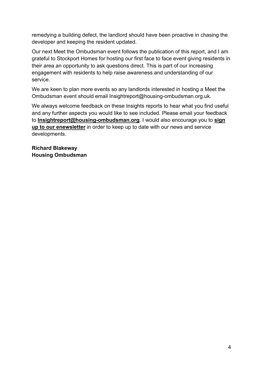remedying a building defect, the landlord should have been proactive in chasing the developer and keeping the resident updated.

Our next Meet the Ombudsman event follows the publication of this report, and I am grateful to Stockport Homes for hosting our first face to face event giving residents in their area an opportunity to ask questions direct. This is part of our increasing engagement with residents to help raise awareness and understanding of our service.

We are keen to plan more events so any landlords interested in hosting a Meet the Ombudsman event should email Insightreport@housing-ombudsman.org.uk.

We always welcome feedback on these Insights reports to hear what you find useful and any further aspects you would like to see included. Please email your feedback to **[Insightreport@housing-ombudsman.org](mailto:Insightreport@housing-ombudsman.org)**. I would also encourage you to **[sign](https://public.govdelivery.com/accounts/UKHOS/subscriber/new?preferences=true)  [up to our enewsletter](https://public.govdelivery.com/accounts/UKHOS/subscriber/new?preferences=true)** in order to keep up to date with our news and service developments.

**Richard Blakeway Housing Ombudsman**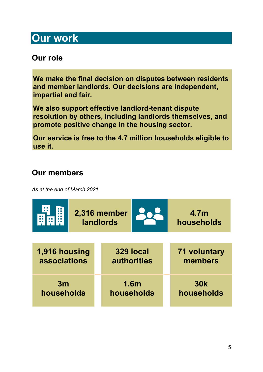# <span id="page-4-0"></span>**Our work**

# **Our role**

**We make the final decision on disputes between residents and member landlords. Our decisions are independent, impartial and fair.** 

**We also support effective landlord-tenant dispute resolution by others, including landlords themselves, and promote positive change in the housing sector.** 

**Our service is free to the 4.7 million households eligible to use it.** 

# **Our members**

*As at the end of March 2021*

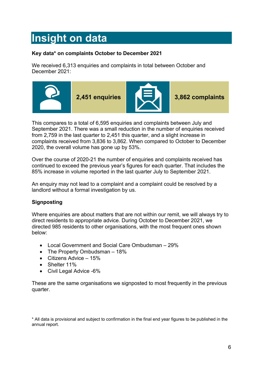# <span id="page-5-0"></span>**Insight on data**

#### **Key data\* on complaints October to December 2021**

We received 6,313 enquiries and complaints in total between October and December 2021:



This compares to a total of 6,595 enquiries and complaints between July and September 2021. There was a small reduction in the number of enquiries received from 2,759 in the last quarter to 2,451 this quarter, and a slight increase in complaints received from 3,836 to 3,862. When compared to October to December 2020, the overall volume has gone up by 53%.

Over the course of 2020-21 the number of enquiries and complaints received has continued to exceed the previous year's figures for each quarter. That includes the 85% increase in volume reported in the last quarter July to September 2021.

An enquiry may not lead to a complaint and a complaint could be resolved by a landlord without a formal investigation by us.

#### **Signposting**

Where enquiries are about matters that are not within our remit, we will always try to direct residents to appropriate advice. During October to December 2021, we directed 985 residents to other organisations, with the most frequent ones shown below:

- Local Government and Social Care Ombudsman 29%
- The Property Ombudsman 18%
- Citizens Advice 15%
- Shelter 11%
- Civil Legal Advice -6%

These are the same organisations we signposted to most frequently in the previous quarter.

\* All data is provisional and subject to confirmation in the final end year figures to be published in the annual report.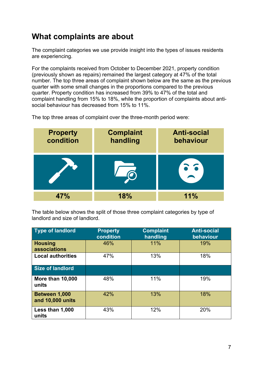# **What complaints are about**

The complaint categories we use provide insight into the types of issues residents are experiencing.

For the complaints received from October to December 2021, property condition (previously shown as repairs) remained the largest category at 47% of the total number. The top three areas of complaint shown below are the same as the previous quarter with some small changes in the proportions compared to the previous quarter. Property condition has increased from 39% to 47% of the total and complaint handling from 15% to 18%, while the proportion of complaints about antisocial behaviour has decreased from 15% to 11%.

The top three areas of complaint over the three-month period were:

| <b>Property</b><br>condition | <b>Complaint</b><br>handling | <b>Anti-social</b><br>behaviour |
|------------------------------|------------------------------|---------------------------------|
|                              |                              | 56                              |
|                              | 18%                          | 11%                             |

The table below shows the split of those three complaint categories by type of landlord and size of landlord.

| <b>Type of landlord</b>           | <b>Property</b><br>condition | <b>Complaint</b><br>handling | <b>Anti-social</b><br>behaviour |
|-----------------------------------|------------------------------|------------------------------|---------------------------------|
| <b>Housing</b><br>associations    | 46%                          | 11%                          | 19%                             |
| <b>Local authorities</b>          | 47%                          | 13%                          | 18%                             |
| Size of landlord                  |                              |                              |                                 |
| <b>More than 10,000</b><br>units  | 48%                          | 11%                          | 19%                             |
| Between 1,000<br>and 10,000 units | 42%                          | 13%                          | 18%                             |
| Less than 1,000<br>units          | 43%                          | 12%                          | 20%                             |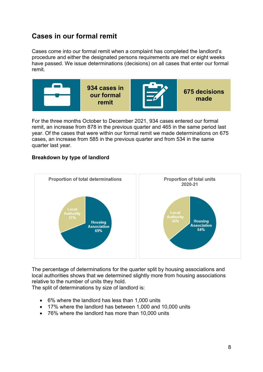### **Cases in our formal remit**

Cases come into our formal remit when a complaint has completed the landlord's procedure and either the designated persons requirements are met or eight weeks have passed. We issue determinations (decisions) on all cases that enter our formal remit.



For the three months October to December 2021, 934 cases entered our formal remit, an increase from 878 in the previous quarter and 465 in the same period last year. Of the cases that were within our formal remit we made determinations on 675 cases, an increase from 585 in the previous quarter and from 534 in the same quarter last year.

#### **Breakdown by type of landlord**



The percentage of determinations for the quarter split by housing associations and local authorities shows that we determined slightly more from housing associations relative to the number of units they hold.

The split of determinations by size of landlord is:

- 6% where the landlord has less than 1,000 units
- 17% where the landlord has between 1,000 and 10,000 units
- 76% where the landlord has more than 10,000 units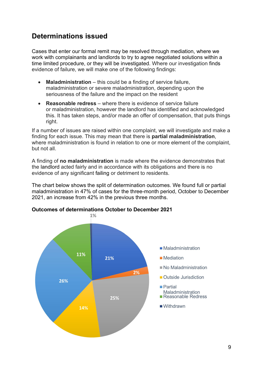### **Determinations issued**

Cases that enter our formal remit may be resolved through mediation, where we work with complainants and landlords to try to agree negotiated solutions within a time limited procedure, or they will be investigated. Where our investigation finds evidence of failure, we will make one of the following findings:

- **Maladministration** this could be a finding of service failure, maladministration or severe maladministration, depending upon the seriousness of the failure and the impact on the resident
- **Reasonable redress** where there is evidence of service failure or maladministration, however the landlord has identified and acknowledged this. It has taken steps, and/or made an offer of compensation, that puts things right.

If a number of issues are raised within one complaint, we will investigate and make a finding for each issue. This may mean that there is **partial maladministration**, where maladministration is found in relation to one or more element of the complaint, but not all.

A finding of **no maladministration** is made where the evidence demonstrates that the landlord acted fairly and in accordance with its obligations and there is no evidence of any significant failing or detriment to residents.

The chart below shows the split of determination outcomes. We found full or partial maladministration in 47% of cases for the three-month period, October to December 2021, an increase from 42% in the previous three months.

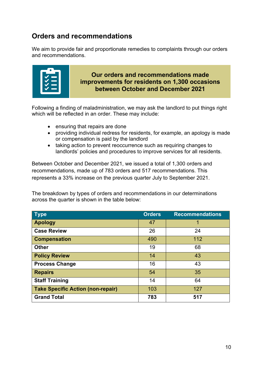### **Orders and recommendations**

We aim to provide fair and proportionate remedies to complaints through our orders and recommendations.



**Our orders and recommendations made improvements for residents on 1,300 occasions between October and December 2021**

Following a finding of maladministration, we may ask the landlord to put things right which will be reflected in an order. These may include:

- ensuring that repairs are done
- providing individual redress for residents, for example, an apology is made or compensation is paid by the landlord
- taking action to prevent reoccurrence such as requiring changes to landlords' policies and procedures to improve services for all residents.

Between October and December 2021, we issued a total of 1,300 orders and recommendations, made up of 783 orders and 517 recommendations. This represents a 33% increase on the previous quarter July to September 2021.

The breakdown by types of orders and recommendations in our determinations across the quarter is shown in the table below:

| <b>Type</b>                              | <b>Orders</b> | <b>Recommendations</b> |
|------------------------------------------|---------------|------------------------|
| <b>Apology</b>                           | 47            | 1                      |
| <b>Case Review</b>                       | 26            | 24                     |
| <b>Compensation</b>                      | 490           | 112                    |
| <b>Other</b>                             | 19            | 68                     |
| <b>Policy Review</b>                     | 14            | 43                     |
| <b>Process Change</b>                    | 16            | 43                     |
| <b>Repairs</b>                           | 54            | 35                     |
| <b>Staff Training</b>                    | 14            | 64                     |
| <b>Take Specific Action (non-repair)</b> | 103           | 127                    |
| <b>Grand Total</b>                       | 783           | 517                    |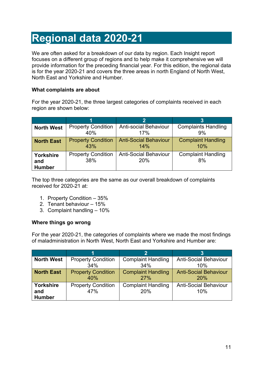# <span id="page-10-0"></span>**Regional data 2020-21**

We are often asked for a breakdown of our data by region. Each Insight report focuses on a different group of regions and to help make it comprehensive we will provide information for the preceding financial year. For this edition, the regional data is for the year 2020-21 and covers the three areas in north England of North West, North East and Yorkshire and Humber.

#### **What complaints are about**

For the year 2020-21, the three largest categories of complaints received in each region are shown below:

<span id="page-10-2"></span><span id="page-10-1"></span>

|                                   |                                  | $\overline{2}$                      |                                 |
|-----------------------------------|----------------------------------|-------------------------------------|---------------------------------|
| <b>North West</b>                 | <b>Property Condition</b>        | <b>Anti-social Behaviour</b>        | <b>Complaints Handling</b>      |
|                                   | 40%                              | 17%                                 | 9%                              |
| <b>North East</b>                 | <b>Property Condition</b>        | <b>Anti-Social Behaviour</b>        | <b>Complaint Handling</b>       |
|                                   | 43%                              | 14%                                 | 10%                             |
| Yorkshire<br>and<br><b>Humber</b> | <b>Property Condition</b><br>38% | <b>Anti-Social Behaviour</b><br>20% | <b>Complaint Handling</b><br>8% |

<span id="page-10-3"></span>The top three categories are the same as our overall breakdown of complaints received for 2020-21 at:

- 1. Property Condition 35%
- 2. Tenant behaviour 15%
- 3. Complaint handling 10%

#### **Where things go wrong**

For the year 2020-21, the categories of complaints where we made the most findings of maladministration in North West, North East and Yorkshire and Humber are:

| <b>North West</b>                 | <b>Property Condition</b>        | <b>Complaint Handling</b>        | <b>Anti-Social Behaviour</b>               |
|-----------------------------------|----------------------------------|----------------------------------|--------------------------------------------|
|                                   | 34%                              | 34%                              | 10%                                        |
| <b>North East</b>                 | <b>Property Condition</b><br>40% | <b>Complaint Handling</b><br>27% | <b>Anti-Social Behaviour</b><br><b>20%</b> |
| Yorkshire<br>and<br><b>Humber</b> | <b>Property Condition</b><br>47% | <b>Complaint Handling</b><br>20% | <b>Anti-Social Behaviour</b><br>10%        |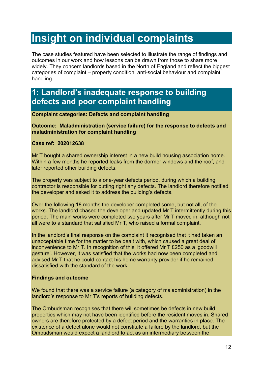# <span id="page-11-0"></span>**Insight on individual complaints**

The case studies featured have been selected to illustrate the range of findings and outcomes in our work and how lessons can be drawn from those to share more widely. They concern landlords based in the North of England and reflect the biggest categories of complaint – property condition, anti-social behaviour and complaint handling.

# **1: Landlord's inadequate response to building defects and poor complaint handling**

**Complaint categories: Defects and complaint handling**

**Outcome: Maladministration (service failure) for the response to defects and maladministration for complaint handling**

#### **Case ref: 202012638**

Mr T bought a shared ownership interest in a new build housing association home. Within a few months he reported leaks from the dormer windows and the roof, and later reported other building defects.

The property was subject to a one-year defects period, during which a building contractor is responsible for putting right any defects. The landlord therefore notified the developer and asked it to address the building's defects.

Over the following 18 months the developer completed some, but not all, of the works. The landlord chased the developer and updated Mr T intermittently during this period. The main works were completed two years after Mr T moved in, although not all were to a standard that satisfied Mr T, who raised a formal complaint.

In the landlord's final response on the complaint it recognised that it had taken an unacceptable time for the matter to be dealt with, which caused a great deal of inconvenience to Mr T. In recognition of this, it offered Mr T £250 as a 'goodwill gesture'. However, it was satisfied that the works had now been completed and advised Mr T that he could contact his home warranty provider if he remained dissatisfied with the standard of the work.

#### **Findings and outcome**

We found that there was a service failure (a category of maladministration) in the landlord's response to Mr T's reports of building defects.

The Ombudsman recognises that there will sometimes be defects in new build properties which may not have been identified before the resident moves in. Shared owners are therefore protected by a defect period and the warranties in place. The existence of a defect alone would not constitute a failure by the landlord, but the Ombudsman would expect a landlord to act as an intermediary between the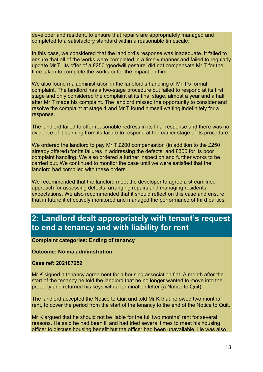developer and resident, to ensure that repairs are appropriately managed and completed to a satisfactory standard within a reasonable timescale.

In this case, we considered that the landlord's response was inadequate. It failed to ensure that all of the works were completed in a timely manner and failed to regularly update Mr T. Its offer of a £250 'goodwill gesture' did not compensate Mr T for the time taken to complete the works or for the impact on him.

We also found maladministration in the landlord's handling of Mr T's formal complaint. The landlord has a two-stage procedure but failed to respond at its first stage and only considered the complaint at its final stage, almost a year and a half after Mr T made his complaint. The landlord missed the opportunity to consider and resolve the complaint at stage 1 and Mr T found himself waiting indefinitely for a response.

The landlord failed to offer reasonable redress in its final response and there was no evidence of it learning from its failure to respond at the earlier stage of its procedure.

We ordered the landlord to pay Mr T £200 compensation (in addition to the £250 already offered) for its failures in addressing the defects, and £300 for its poor complaint handling. We also ordered a further inspection and further works to be carried out. We continued to monitor the case until we were satisfied that the landlord had complied with these orders.

We recommended that the landlord meet the developer to agree a streamlined approach for assessing defects, arranging repairs and managing residents' expectations. We also recommended that it should reflect on this case and ensure that in future it effectively monitored and managed the performance of third parties.

### **2: Landlord dealt appropriately with tenant's request to end a tenancy and with liability for rent**

**Complaint categories: Ending of tenancy**

**Outcome: No maladministration**

**Case ref: 202107252**

Mr K signed a tenancy agreement for a housing association flat. A month after the start of the tenancy he told the landlord that he no longer wanted to move into the property and returned his keys with a termination letter (a Notice to Quit).

The landlord accepted the Notice to Quit and told Mr K that he owed two months' rent, to cover the period from the start of the tenancy to the end of the Notice to Quit.

Mr K argued that he should not be liable for the full two months' rent for several reasons. He said he had been ill and had tried several times to meet his housing officer to discuss housing benefit but the officer had been unavailable. He was also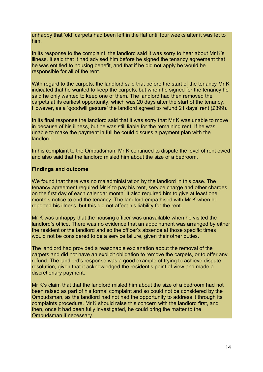unhappy that 'old' carpets had been left in the flat until four weeks after it was let to him.

In its response to the complaint, the landlord said it was sorry to hear about Mr K's illness. It said that it had advised him before he signed the tenancy agreement that he was entitled to housing benefit, and that if he did not apply he would be responsible for all of the rent.

With regard to the carpets, the landlord said that before the start of the tenancy Mr K indicated that he wanted to keep the carpets, but when he signed for the tenancy he said he only wanted to keep one of them. The landlord had then removed the carpets at its earliest opportunity, which was 20 days after the start of the tenancy. However, as a 'goodwill gesture' the landlord agreed to refund 21 days' rent (£399).

In its final response the landlord said that it was sorry that Mr K was unable to move in because of his illness, but he was still liable for the remaining rent. If he was unable to make the payment in full he could discuss a payment plan with the landlord.

In his complaint to the Ombudsman, Mr K continued to dispute the level of rent owed and also said that the landlord misled him about the size of a bedroom.

#### **Findings and outcome**

We found that there was no maladministration by the landlord in this case. The tenancy agreement required Mr K to pay his rent, service charge and other charges on the first day of each calendar month. It also required him to give at least one month's notice to end the tenancy. The landlord empathised with Mr K when he reported his illness, but this did not affect his liability for the rent.

Mr K was unhappy that the housing officer was unavailable when he visited the landlord's office. There was no evidence that an appointment was arranged by either the resident or the landlord and so the officer's absence at those specific times would not be considered to be a service failure, given their other duties.

The landlord had provided a reasonable explanation about the removal of the carpets and did not have an explicit obligation to remove the carpets, or to offer any refund. The landlord's response was a good example of trying to achieve dispute resolution, given that it acknowledged the resident's point of view and made a discretionary payment.

Mr K's claim that that the landlord misled him about the size of a bedroom had not been raised as part of his formal complaint and so could not be considered by the Ombudsman, as the landlord had not had the opportunity to address it through its complaints procedure. Mr K should raise this concern with the landlord first, and then, once it had been fully investigated, he could bring the matter to the Ombudsman if necessary.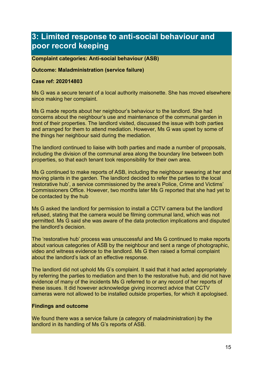# **3: Limited response to anti-social behaviour and poor record keeping**

#### **Complaint categories: Anti-social behaviour (ASB)**

#### **Outcome: Maladministration (service failure)**

#### **Case ref: 202014803**

Ms G was a secure tenant of a local authority maisonette. She has moved elsewhere since making her complaint.

Ms G made reports about her neighbour's behaviour to the landlord. She had concerns about the neighbour's use and maintenance of the communal garden in front of their properties. The landlord visited, discussed the issue with both parties and arranged for them to attend mediation. However, Ms G was upset by some of the things her neighbour said during the mediation.

The landlord continued to liaise with both parties and made a number of proposals, including the division of the communal area along the boundary line between both properties, so that each tenant took responsibility for their own area.

Ms G continued to make reports of ASB, including the neighbour swearing at her and moving plants in the garden. The landlord decided to refer the parties to the local 'restorative hub', a service commissioned by the area's Police, Crime and Victims' Commissioners Office. However, two months later Ms G reported that she had yet to be contacted by the hub

Ms G asked the landlord for permission to install a CCTV camera but the landlord refused, stating that the camera would be filming communal land, which was not permitted. Ms G said she was aware of the data protection implications and disputed the landlord's decision.

The 'restorative hub' process was unsuccessful and Ms G continued to make reports about various categories of ASB by the neighbour and sent a range of photographic, video and witness evidence to the landlord. Ms G then raised a formal complaint about the landlord's lack of an effective response.

The landlord did not uphold Ms G's complaint. It said that it had acted appropriately by referring the parties to mediation and then to the restorative hub, and did not have evidence of many of the incidents Ms G referred to or any record of her reports of these issues. It did however acknowledge giving incorrect advice that CCTV cameras were not allowed to be installed outside properties, for which it apologised.

#### **Findings and outcome**

We found there was a service failure (a category of maladministration) by the landlord in its handling of Ms G's reports of ASB.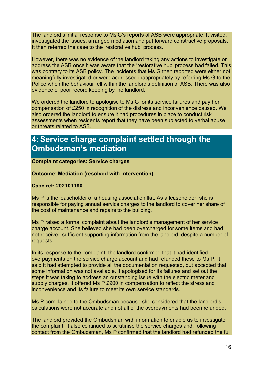The landlord's initial response to Ms G's reports of ASB were appropriate. It visited, investigated the issues, arranged mediation and put forward constructive proposals. It then referred the case to the 'restorative hub' process.

However, there was no evidence of the landlord taking any actions to investigate or address the ASB once it was aware that the 'restorative hub' process had failed. This was contrary to its ASB policy. The incidents that Ms G then reported were either not meaningfully investigated or were addressed inappropriately by referring Ms G to the Police when the behaviour fell within the landlord's definition of ASB. There was also evidence of poor record keeping by the landlord.

We ordered the landlord to apologise to Ms G for its service failures and pay her compensation of £250 in recognition of the distress and inconvenience caused. We also ordered the landlord to ensure it had procedures in place to conduct risk assessments when residents report that they have been subjected to verbal abuse or threats related to ASB.

# **4: Service charge complaint settled through the Ombudsman's mediation**

#### **Complaint categories: Service charges**

#### **Outcome: Mediation (resolved with intervention)**

#### **Case ref: 202101190**

Ms P is the leaseholder of a housing association flat. As a leaseholder, she is responsible for paying annual service charges to the landlord to cover her share of the cost of maintenance and repairs to the building.

Ms P raised a formal complaint about the landlord's management of her service charge account. She believed she had been overcharged for some items and had not received sufficient supporting information from the landlord, despite a number of requests.

In its response to the complaint, the landlord confirmed that it had identified overpayments on the service charge account and had refunded these to Ms P. It said it had attempted to provide all the documentation requested, but accepted that some information was not available. It apologised for its failures and set out the steps it was taking to address an outstanding issue with the electric meter and supply charges. It offered Ms P £900 in compensation to reflect the stress and inconvenience and its failure to meet its own service standards.

Ms P complained to the Ombudsman because she considered that the landlord's calculations were not accurate and not all of the overpayments had been refunded.

The landlord provided the Ombudsman with information to enable us to investigate the complaint. It also continued to scrutinise the service charges and, following contact from the Ombudsman, Ms P confirmed that the landlord had refunded the full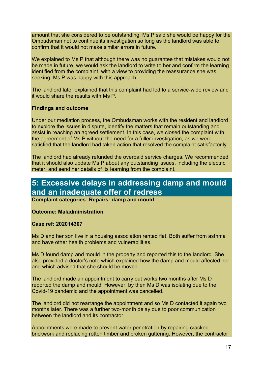amount that she considered to be outstanding. Ms P said she would be happy for the Ombudsman not to continue its investigation so long as the landlord was able to confirm that it would not make similar errors in future.

We explained to Ms P that although there was no guarantee that mistakes would not be made in future, we would ask the landlord to write to her and confirm the learning identified from the complaint, with a view to providing the reassurance she was seeking. Ms P was happy with this approach.

The landlord later explained that this complaint had led to a service-wide review and it would share the results with Ms P.

#### **Findings and outcome**

Under our mediation process, the Ombudsman works with the resident and landlord to explore the issues in dispute, identify the matters that remain outstanding and assist in reaching an agreed settlement. In this case, we closed the complaint with the agreement of Ms P without the need for a fuller investigation, as we were satisfied that the landlord had taken action that resolved the complaint satisfactorily.

The landlord had already refunded the overpaid service charges. We recommended that it should also update Ms P about any outstanding issues, including the electric meter, and send her details of its learning from the complaint.

# **5: Excessive delays in addressing damp and mould and an inadequate offer of redress**

**Complaint categories: Repairs: damp and mould**

#### **Outcome: Maladministration**

#### **Case ref: 202014307**

Ms D and her son live in a housing association rented flat. Both suffer from asthma and have other health problems and vulnerabilities.

Ms D found damp and mould in the property and reported this to the landlord. She also provided a doctor's note which explained how the damp and mould affected her and which advised that she should be moved.

The landlord made an appointment to carry out works two months after Ms D reported the damp and mould. However, by then Ms D was isolating due to the Covid-19 pandemic and the appointment was cancelled.

The landlord did not rearrange the appointment and so Ms D contacted it again two months later. There was a further two-month delay due to poor communication between the landlord and its contractor.

Appointments were made to prevent water penetration by repairing cracked brickwork and replacing rotten timber and broken guttering. However, the contractor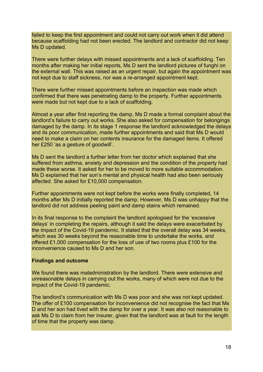failed to keep the first appointment and could not carry out work when it did attend because scaffolding had not been erected. The landlord and contractor did not keep Ms D updated.

There were further delays with missed appointments and a lack of scaffolding. Ten months after making her initial reports, Ms D sent the landlord pictures of funghi on the external wall. This was raised as an urgent repair, but again the appointment was not kept due to staff sickness, nor was a re-arranged appointment kept.

There were further missed appointments before an inspection was made which confirmed that there was penetrating damp to the property. Further appointments were made but not kept due to a lack of scaffolding.

Almost a year after first reporting the damp, Ms D made a formal complaint about the landlord's failure to carry out works. She also asked for compensation for belongings damaged by the damp. In its stage 1 response the landlord acknowledged the delays and its poor communication, made further appointments and said that Ms D would need to make a claim on her contents insurance for the damaged items. It offered her £250 'as a gesture of goodwill'.

Ms D sent the landlord a further letter from her doctor which explained that she suffered from asthma, anxiety and depression and the condition of the property had made these worse. It asked for her to be moved to more suitable accommodation. Ms D explained that her son's mental and physical health had also been seriously affected. She asked for £10,000 compensation.

Further appointments were not kept before the works were finally completed, 14 months after Ms D initially reported the damp. However, Ms D was unhappy that the landlord did not address peeling paint and damp stains which remained.

In its final response to the complaint the landlord apologised for the 'excessive delays' in completing the repairs, although it said the delays were exacerbated by the impact of the Covid-19 pandemic. It stated that the overall delay was 34 weeks, which was 30 weeks beyond the reasonable time to undertake the works, and offered £1,000 compensation for the loss of use of two rooms plus £100 for the inconvenience caused to Ms D and her son.

#### **Findings and outcome**

We found there was maladministration by the landlord. There were extensive and unreasonable delays in carrying out the works, many of which were not due to the impact of the Covid-19 pandemic.

The landlord's communication with Ms D was poor and she was not kept updated. The offer of £100 compensation for inconvenience did not recognise the fact that Ms D and her son had lived with the damp for over a year. It was also not reasonable to ask Ms D to claim from her insurer, given that the landlord was at fault for the length of time that the property was damp.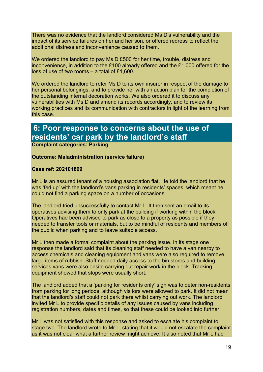There was no evidence that the landlord considered Ms D's vulnerability and the impact of its service failures on her and her son, or offered redress to reflect the additional distress and inconvenience caused to them.

We ordered the landlord to pay Ms D £500 for her time, trouble, distress and inconvenience, in addition to the £100 already offered and the £1,000 offered for the loss of use of two rooms – a total of £1,600.

We ordered the landlord to refer Ms D to its own insurer in respect of the damage to her personal belongings, and to provide her with an action plan for the completion of the outstanding internal decoration works. We also ordered it to discuss any vulnerabilities with Ms D and amend its records accordingly, and to review its working practices and its communication with contractors in light of the learning from this case.

# **6: Poor response to concerns about the use of residents' car park by the landlord's staff**

**Complaint categories: Parking**

#### **Outcome: Maladministration (service failure)**

#### **Case ref: 202101899**

Mr L is an assured tenant of a housing association flat. He told the landlord that he was 'fed up' with the landlord's vans parking in residents' spaces, which meant he could not find a parking space on a number of occasions.

The landlord tried unsuccessfully to contact Mr L. It then sent an email to its operatives advising them to only park at the building if working within the block. Operatives had been advised to park as close to a property as possible if they needed to transfer tools or materials, but to be mindful of residents and members of the public when parking and to leave suitable access.

Mr L then made a formal complaint about the parking issue. In its stage one response the landlord said that its cleaning staff needed to have a van nearby to access chemicals and cleaning equipment and vans were also required to remove large items of rubbish. Staff needed daily access to the bin stores and building services vans were also onsite carrying out repair work in the block. Tracking equipment showed that stops were usually short.

The landlord added that a 'parking for residents only' sign was to deter non-residents from parking for long periods, although visitors were allowed to park. It did not mean that the landlord's staff could not park there whilst carrying out work. The landlord invited Mr L to provide specific details of any issues caused by vans including registration numbers, dates and times, so that these could be looked into further.

Mr L was not satisfied with this response and asked to escalate his complaint to stage two. The landlord wrote to Mr L, stating that it would not escalate the complaint as it was not clear what a further review might achieve. It also noted that Mr L had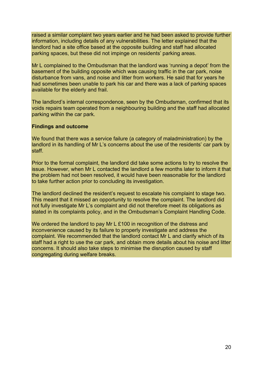raised a similar complaint two years earlier and he had been asked to provide further information, including details of any vulnerabilities. The letter explained that the landlord had a site office based at the opposite building and staff had allocated parking spaces, but these did not impinge on residents' parking areas.

Mr L complained to the Ombudsman that the landlord was 'running a depot' from the basement of the building opposite which was causing traffic in the car park, noise disturbance from vans, and noise and litter from workers. He said that for years he had sometimes been unable to park his car and there was a lack of parking spaces available for the elderly and frail.

The landlord's internal correspondence, seen by the Ombudsman, confirmed that its voids repairs team operated from a neighbouring building and the staff had allocated parking within the car park.

#### **Findings and outcome**

We found that there was a service failure (a category of maladministration) by the landlord in its handling of Mr L's concerns about the use of the residents' car park by staff.

Prior to the formal complaint, the landlord did take some actions to try to resolve the issue. However, when Mr L contacted the landlord a few months later to inform it that the problem had not been resolved, it would have been reasonable for the landlord to take further action prior to concluding its investigation.

The landlord declined the resident's request to escalate his complaint to stage two. This meant that it missed an opportunity to resolve the complaint. The landlord did not fully investigate Mr L's complaint and did not therefore meet its obligations as stated in its complaints policy, and in the Ombudsman's Complaint Handling Code.

We ordered the landlord to pay Mr L £100 in recognition of the distress and inconvenience caused by its failure to properly investigate and address the complaint. We recommended that the landlord contact Mr L and clarify which of its staff had a right to use the car park, and obtain more details about his noise and litter concerns. It should also take steps to minimise the disruption caused by staff congregating during welfare breaks.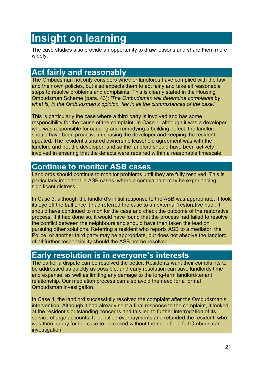# <span id="page-20-0"></span>**Insight on learning**

The case studies also provide an opportunity to draw lessons and share them more widely.

# **Act fairly and reasonably**

The Ombudsman not only considers whether landlords have complied with the law and their own policies, but also expects them to act fairly and take all reasonable steps to resolve problems and complaints. This is clearly stated in the Housing Ombudsman Scheme (para. 43): *'The Ombudsman will determine complaints by what is, in the Ombudsman's opinion, fair in all the circumstances of the case.*'

This is particularly the case where a third party is involved and has some responsibility for the cause of the complaint. In Case 1, although it was a developer who was responsible for causing and remedying a building defect, the landlord should have been proactive in chasing the developer and keeping the resident updated. The resident's shared ownership leasehold agreement was with the landlord and not the developer, and so the landlord should have been actively involved in ensuring that the defects were repaired within a reasonable timescale.

# **Continue to monitor ASB cases**

Landlords should continue to monitor problems until they are fully resolved. This is particularly important in ASB cases, where a complainant may be experiencing significant distress.

In Case 3, although the landlord's initial response to the ASB was appropriate, it took its eye off the ball once it had referred the case to an external 'restorative hub'. It should have continued to monitor the case and check the outcome of the restorative process. If it had done so, it would have found that the process had failed to resolve the conflict between the neighbours and should have then taken the lead on pursuing other solutions. Referring a resident who reports ASB to a mediator, the Police, or another third party may be appropriate, but does not absolve the landlord of all further responsibility should the ASB not be resolved.

# **Early resolution is in everyone's interests**

The earlier a dispute can be resolved the better. Residents want their complaints to be addressed as quickly as possible, and early resolution can save landlords time and expense, as well as limiting any damage to the long-term landlord/tenant relationship. Our mediation process can also avoid the need for a formal Ombudsman investigation.

In Case 4, the landlord successfully resolved the complaint after the Ombudsman's intervention. Although it had already sent a final response to the complaint, it looked at the resident's outstanding concerns and this led to further interrogation of its service charge accounts. It identified overpayments and refunded the resident, who was then happy for the case to be closed without the need for a full Ombudsman investigation.